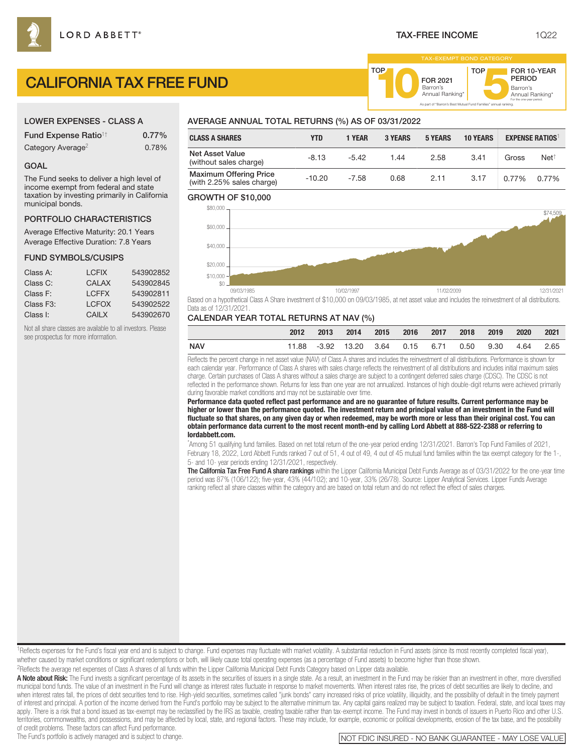FOR 2021<br>Barron's

Barron's **10**Annual Ranking\*

As part of "Barron's Best Mutual Fund Families" annual ranking.

TOP

Barron's<br>Annual Ranking\*

For the one-year period.

FOR 10-YEAR PERIOD

# CALIFORNIA TAX FREE FUND

# LOWER EXPENSES - CLASS A

| <b>Fund Expense Ratio<sup>1†</sup></b> | $0.77\%$ |
|----------------------------------------|----------|
| Category Average <sup>2</sup>          | 0.78%    |

## GOAL

The Fund seeks to deliver a high level of income exempt from federal and state taxation by investing primarily in California municipal bonds.

# PORTFOLIO CHARACTERISTICS

Average Effective Maturity: 20.1 Years Average Effective Duration: 7.8 Years

#### FUND SYMBOLS/CUSIPS

| Class A:               | <b>LCFIX</b> | 543902852 |
|------------------------|--------------|-----------|
| Class C:               | CAI AX       | 543902845 |
| Class F:               | <b>LCFFX</b> | 543902811 |
| Class F <sub>3</sub> : | <b>LCFOX</b> | 543902522 |
| Class I:               | CAIL X       | 543902670 |

Not all share classes are available to all investors. Please see prospectus for more information.

# AVERAGE ANNUAL TOTAL RETURNS (%) AS OF 03/31/2022

| <b>CLASS A SHARES</b>                                      | YTD      | 1 YEAR  | <b>3 YEARS</b> | <b>5 YEARS</b> | <b>10 YEARS</b> |       | <b>EXPENSE RATIOS</b> |
|------------------------------------------------------------|----------|---------|----------------|----------------|-----------------|-------|-----------------------|
| <b>Net Asset Value</b><br>(without sales charge)           | $-8.13$  | $-5.42$ | 1.44           | 2.58           | 3.41            | Gross | Net <sup>†</sup>      |
| <b>Maximum Offering Price</b><br>(with 2.25% sales charge) | $-10.20$ | $-7.58$ | 0.68           | 2.11           | 3.17            | 0.77% | 0.77%                 |

TOP

#### GROWTH OF \$10,000



Based on a hypothetical Class A Share investment of \$10,000 on 09/03/1985, at net asset value and includes the reinvestment of all distributions. Data as of 12/31/2021.

# CALENDAR YEAR TOTAL RETURNS AT NAV (%)

|     | 2012 | $-2013$ | 2014                                                 |  | 2015 2016 2017 2018 2019 | 2020 | 2021 |
|-----|------|---------|------------------------------------------------------|--|--------------------------|------|------|
| NAV |      |         | 11.88 -3.92 13.20 3.64 0.15 6.71 0.50 9.30 4.64 2.65 |  |                          |      |      |

Reflects the percent change in net asset value (NAV) of Class A shares and includes the reinvestment of all distributions. Performance is shown for each calendar year. Performance of Class A shares with sales charge reflects the reinvestment of all distributions and includes initial maximum sales charge. Certain purchases of Class A shares without a sales charge are subject to a contingent deferred sales charge (CDSC). The CDSC is not reflected in the performance shown. Returns for less than one year are not annualized. Instances of high double-digit returns were achieved primarily during favorable market conditions and may not be sustainable over time.

**Performance data quoted reflect past performance and are no guarantee of future results. Current performance may be higher or lower than the performance quoted. The investment return and principal value of an investment in the Fund will fluctuate so that shares, on any given day or when redeemed, may be worth more or less than their original cost. You can obtain performance data current to the most recent month-end by calling Lord Abbett at 888-522-2388 or referring to lordabbett.com.**

\* Among 51 qualifying fund families. Based on net total return of the one-year period ending 12/31/2021. Barron's Top Fund Families of 2021, February 18, 2022, Lord Abbett Funds ranked 7 out of 51, 4 out of 49, 4 out of 45 mutual fund families within the tax exempt category for the 1-, 5- and 10- year periods ending 12/31/2021, respectively.

The California Tax Free Fund A share rankings within the Lipper California Municipal Debt Funds Average as of 03/31/2022 for the one-year time period was 87% (106/122); five-year, 43% (44/102); and 10-year, 33% (26/78). Source: Lipper Analytical Services. Lipper Funds Average ranking reflect all share classes within the category and are based on total return and do not reflect the effect of sales charges.

<sup>1</sup>Reflects expenses for the Fund's fiscal year end and is subject to change. Fund expenses may fluctuate with market volatility. A substantial reduction in Fund assets (since its most recently completed fiscal year), whether caused by market conditions or significant redemptions or both, will likely cause total operating expenses (as a percentage of Fund assets) to become higher than those shown. 2Reflects the average net expenses of Class A shares of all funds within the Lipper California Municipal Debt Funds Category based on Lipper data available.

A Note about Risk: The Fund invests a significant percentage of its assets in the securities of issuers in a single state. As a result, an investment in the Fund may be riskier than an investment in other, more diversified municipal bond funds. The value of an investment in the Fund will change as interest rates fluctuate in response to market movements. When interest rates rise, the prices of debt securities are likely to decline, and when interest rates fall, the prices of debt securities tend to rise. High-yield securities, sometimes called "junk bonds" carry increased risks of price volatility, illiquidity, and the possibility of default in the timel of interest and principal. A portion of the income derived from the Fund's portfolio may be subject to the alternative minimum tax. Any capital gains realized may be subject to taxation. Federal, state, and local taxes may apply. There is a risk that a bond issued as tax-exempt may be reclassified by the IRS as taxable, creating taxable rather than tax-exempt income. The Fund may invest in bonds of issuers in Puerto Rico and other U.S. territories, commonwealths, and possessions, and may be affected by local, state, and regional factors. These may include, for example, economic or political developments, erosion of the tax base, and the possibility

of credit problems. These factors can affect Fund performance.<br>The Fund's portfolio is actively managed and is subject to change.